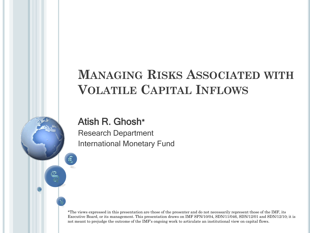### **MANAGING RISKS ASSOCIATED WITH VOLATILE CAPITAL INFLOWS**

#### Atish R. Ghosh\*

Research Department International Monetary Fund

\*The views expressed in this presentation are those of the presenter and do not necessarily represent those of the IMF, its Executive Board, or its management. This presentation draws on IMF SPN/10/04, SDN/11/046, SDN/12/01 and SDN/12/10; it is not meant to prejudge the outcome of the IMF's ongoing work to articulate an institutional view on capital flows.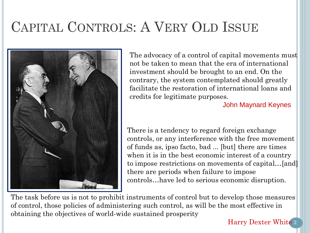# CAPITAL CONTROLS: A VERY OLD ISSUE



The advocacy of a control of capital movements must not be taken to mean that the era of international investment should be brought to an end. On the contrary, the system contemplated should greatly facilitate the restoration of international loans and credits for legitimate purposes.

John Maynard Keynes

There is a tendency to regard foreign exchange controls, or any interference with the free movement of funds as, ipso facto, bad ... [but] there are times when it is in the best economic interest of a country to impose restrictions on movements of capital…[and] there are periods when failure to impose controls…have led to serious economic disruption.

The task before us is not to prohibit instruments of control but to develop those measures of control, those policies of administering such control, as will be the most effective in obtaining the objectives of world-wide sustained prosperity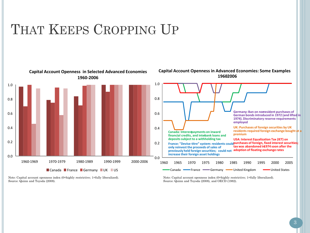## THAT KEEPS CROPPING UP



Note: Capital account openness index (0=highly restrictive; 1=fully liberalized). Source: Quinn and Toyoda (2008).

Note: Capital account openness index (0=highly restrictive; 1=fully liberalized). Source: Quinn and Toyoda (2008), and OECD (1982).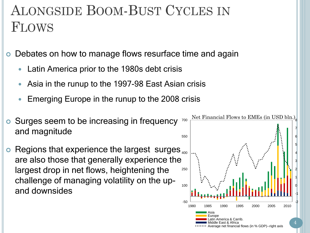# ALONGSIDE BOOM-BUST CYCLES IN FLOWS

Debates on how to manage flows resurface time and again

- Latin America prior to the 1980s debt crisis
- Asia in the runup to the 1997-98 East Asian crisis
- Emerging Europe in the runup to the 2008 crisis
- **o** Surges seem to be increasing in frequency and magnitude
- $\bullet$  Regions that experience the largest surges  $_{400}$ are also those that generally experience the largest drop in net flows, heightening the challenge of managing volatility on the upand downsides

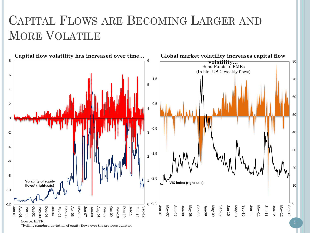## CAPITAL FLOWS ARE BECOMING LARGER AND MORE VOLATILE



\*Rolling standard deviation of equity flows over the previous quarter.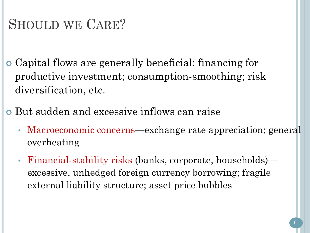## SHOULD WE CARE?

- Capital flows are generally beneficial: financing for productive investment; consumption-smoothing; risk diversification, etc.
- But sudden and excessive inflows can raise
	- Macroeconomic concerns—exchange rate appreciation; general overheating
	- Financial-stability risks (banks, corporate, households) excessive, unhedged foreign currency borrowing; fragile external liability structure; asset price bubbles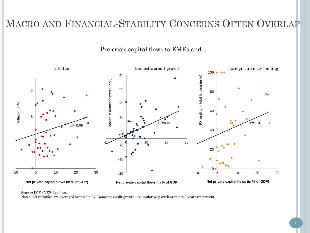#### MACRO AND FINANCIAL-STABILITY CONCERNS OFTEN OVERLAP

Pre-crisis capital flows to EMEs and…



Source: IMF's VEE database.

Notes: All variables are averaged over 2005-07. Domestic credit growth is cumulative growth over last 3 years (in percent).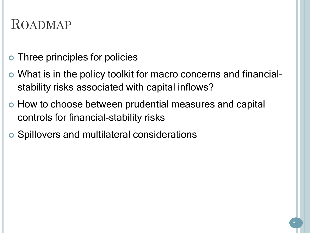## ROADMAP

- Three principles for policies
- What is in the policy toolkit for macro concerns and financialstability risks associated with capital inflows?
- How to choose between prudential measures and capital controls for financial-stability risks
- Spillovers and multilateral considerations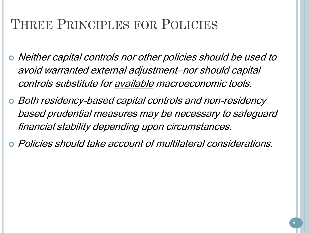## THREE PRINCIPLES FOR POLICIES

- Neither capital controls nor other policies should be used to avoid warranted external adjustment—nor should capital controls substitute for available macroeconomic tools.
- Both residency-based capital controls and non-residency based prudential measures may be necessary to safeguard financial stability depending upon circumstances.
- Policies should take account of multilateral considerations.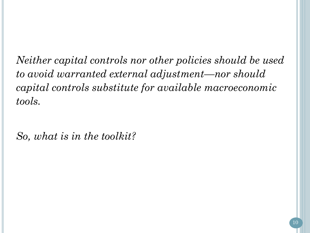*Neither capital controls nor other policies should be used to avoid warranted external adjustment—nor should capital controls substitute for available macroeconomic tools.*

*So, what is in the toolkit?*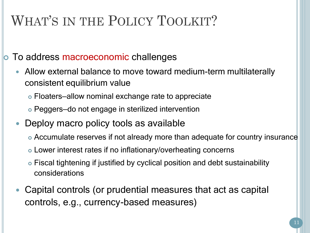# WHAT'S IN THE POLICY TOOLKIT?

To address macroeconomic challenges

- Allow external balance to move toward medium-term multilaterally consistent equilibrium value
	- Floaters—allow nominal exchange rate to appreciate
	- Peggers—do not engage in sterilized intervention
- Deploy macro policy tools as available
	- Accumulate reserves if not already more than adequate for country insurance
	- Lower interest rates if no inflationary/overheating concerns
	- Fiscal tightening if justified by cyclical position and debt sustainability considerations
- Capital controls (or prudential measures that act as capital controls, e.g., currency-based measures)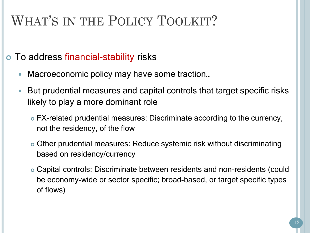# WHAT'S IN THE POLICY TOOLKIT?

#### To address financial-stability risks

- Macroeconomic policy may have some traction...
- But prudential measures and capital controls that target specific risks likely to play a more dominant role
	- FX-related prudential measures: Discriminate according to the currency, not the residency, of the flow
	- Other prudential measures: Reduce systemic risk without discriminating based on residency/currency
	- Capital controls: Discriminate between residents and non-residents (could be economy-wide or sector specific; broad-based, or target specific types of flows)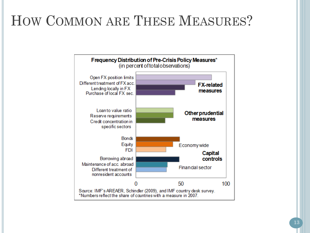# HOW COMMON ARE THESE MEASURES?

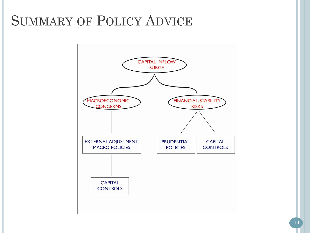## SUMMARY OF POLICY ADVICE

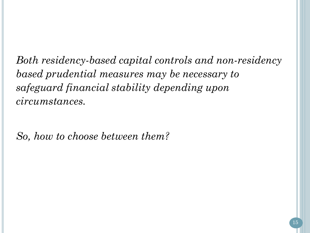*Both residency-based capital controls and non-residency based prudential measures may be necessary to safeguard financial stability depending upon circumstances.*

*So, how to choose between them?*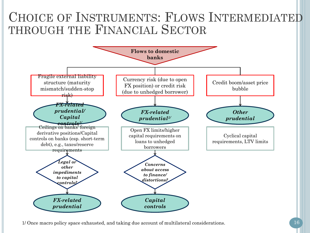### CHOICE OF INSTRUMENTS: FLOWS INTERMEDIATED THROUGH THE FINANCIAL SECTOR



1/ Once macro policy space exhausted, and taking due account of multilateral considerations.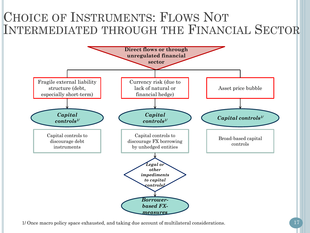### CHOICE OF INSTRUMENTS: FLOWS NOT INTERMEDIATED THROUGH THE FINANCIAL SECTOR



1/ Once macro policy space exhausted, and taking due account of multilateral considerations.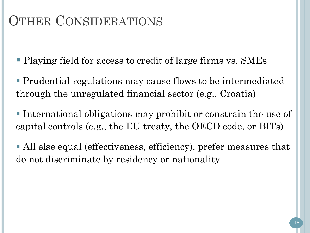## OTHER CONSIDERATIONS

Playing field for access to credit of large firms vs. SMEs

- Prudential regulations may cause flows to be intermediated through the unregulated financial sector (e.g., Croatia)
- International obligations may prohibit or constrain the use of capital controls (e.g., the EU treaty, the OECD code, or BITs)
- All else equal (effectiveness, efficiency), prefer measures that do not discriminate by residency or nationality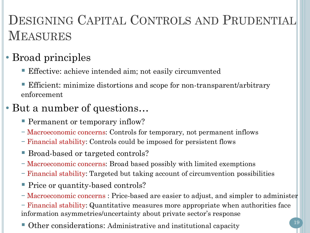# DESIGNING CAPITAL CONTROLS AND PRUDENTIAL MEASURES

#### • Broad principles

- Effective: achieve intended aim; not easily circumvented
- Efficient: minimize distortions and scope for non-transparent/arbitrary enforcement

#### • But a number of questions…

- **Permanent or temporary inflow?**
- − Macroeconomic concerns: Controls for temporary, not permanent inflows
- − Financial stability: Controls could be imposed for persistent flows
- Broad-based or targeted controls?
- − Macroeconomic concerns: Broad based possibly with limited exemptions
- − Financial stability: Targeted but taking account of circumvention possibilities
- Price or quantity-based controls?
- − Macroeconomic concerns : Price-based are easier to adjust, and simpler to administer 1999)<br>1990<br>1990

− Financial stability: Quantitative measures more appropriate when authorities face information asymmetries/uncertainty about private sector's response

Other considerations: Administrative and institutional capacity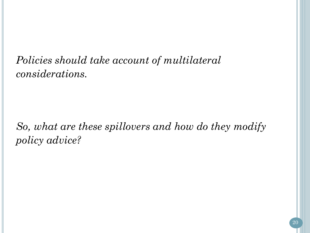*Policies should take account of multilateral considerations.*

*So, what are these spillovers and how do they modify policy advice?*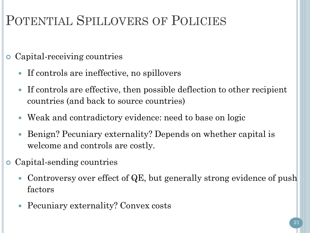# POTENTIAL SPILLOVERS OF POLICIES

- Capital-receiving countries
	- If controls are ineffective, no spillovers
	- If controls are effective, then possible deflection to other recipient countries (and back to source countries)
	- Weak and contradictory evidence: need to base on logic
	- Benign? Pecuniary externality? Depends on whether capital is welcome and controls are costly.
- Capital-sending countries
	- Controversy over effect of QE, but generally strong evidence of push factors
	- Pecuniary externality? Convex costs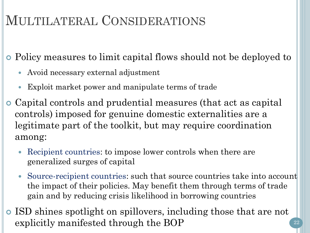## MULTILATERAL CONSIDERATIONS

Policy measures to limit capital flows should not be deployed to

- Avoid necessary external adjustment
- Exploit market power and manipulate terms of trade
- Capital controls and prudential measures (that act as capital controls) imposed for genuine domestic externalities are a legitimate part of the toolkit, but may require coordination among:
	- Recipient countries: to impose lower controls when there are generalized surges of capital
	- Source-recipient countries: such that source countries take into account the impact of their policies. May benefit them through terms of trade gain and by reducing crisis likelihood in borrowing countries
- ISD shines spotlight on spillovers, including those that are not explicitly manifested through the BOP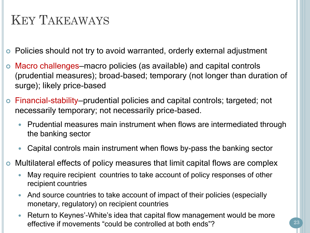## KEY TAKEAWAYS

Policies should not try to avoid warranted, orderly external adjustment

- Macro challenges—macro policies (as available) and capital controls (prudential measures); broad-based; temporary (not longer than duration of surge); likely price-based
- Financial-stability—prudential policies and capital controls; targeted; not necessarily temporary; not necessarily price-based.
	- Prudential measures main instrument when flows are intermediated through the banking sector
	- Capital controls main instrument when flows by-pass the banking sector
- Multilateral effects of policy measures that limit capital flows are complex
	- May require recipient countries to take account of policy responses of other recipient countries
	- And source countries to take account of impact of their policies (especially monetary, regulatory) on recipient countries
	- Return to Keynes'-White's idea that capital flow management would be more effective if movements "could be controlled at both ends"?